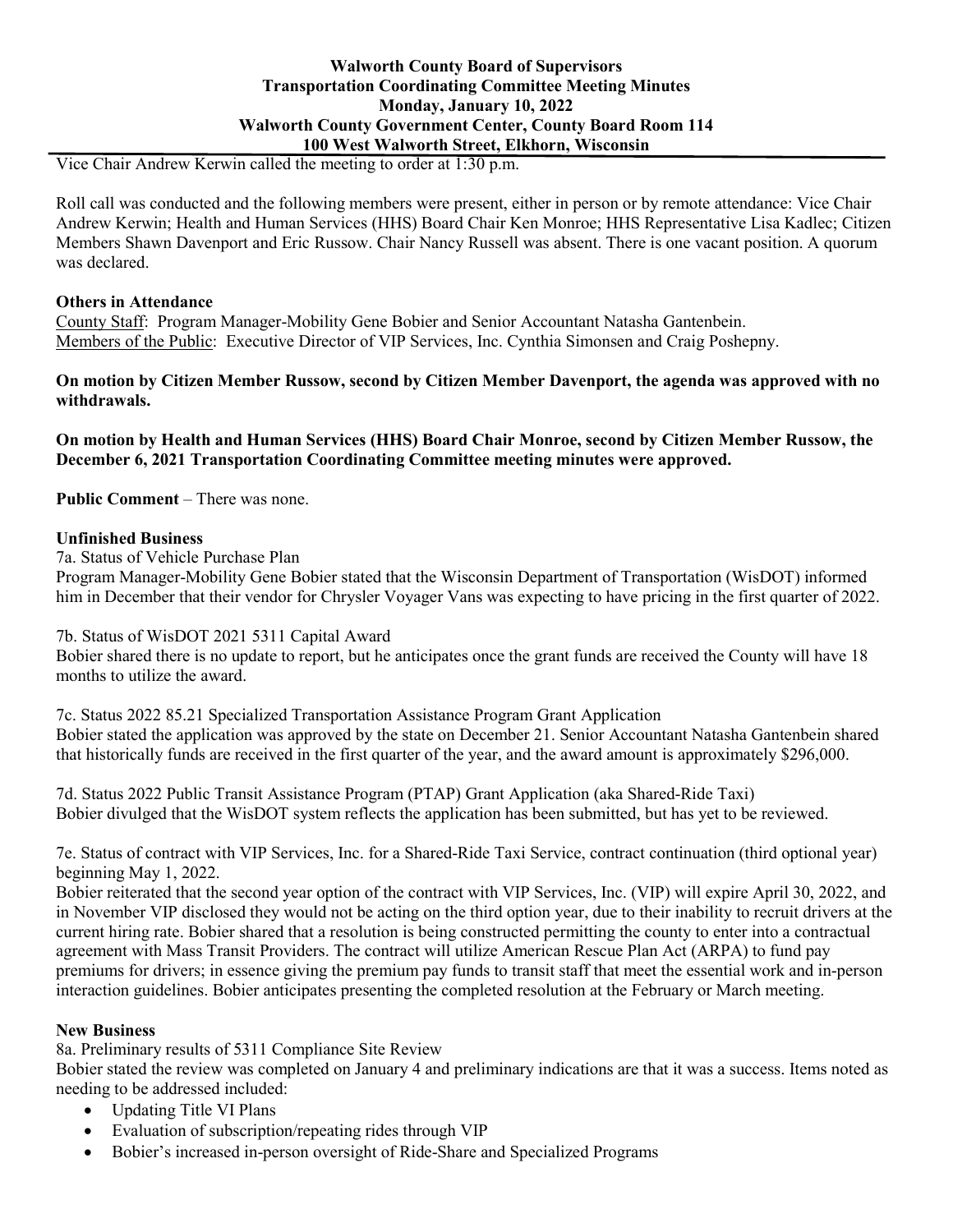Vice Chair Andrew Kerwin called the meeting to order at 1:30 p.m.

Roll call was conducted and the following members were present, either in person or by remote attendance: Vice Chair Andrew Kerwin; Health and Human Services (HHS) Board Chair Ken Monroe; HHS Representative Lisa Kadlec; Citizen Members Shawn Davenport and Eric Russow. Chair Nancy Russell was absent. There is one vacant position. A quorum was declared.

## **Others in Attendance**

County Staff: Program Manager-Mobility Gene Bobier and Senior Accountant Natasha Gantenbein. Members of the Public: Executive Director of VIP Services, Inc. Cynthia Simonsen and Craig Poshepny.

## **On motion by Citizen Member Russow, second by Citizen Member Davenport, the agenda was approved with no withdrawals.**

**On motion by Health and Human Services (HHS) Board Chair Monroe, second by Citizen Member Russow, the December 6, 2021 Transportation Coordinating Committee meeting minutes were approved.**

**Public Comment** – There was none.

# **Unfinished Business**

7a. Status of Vehicle Purchase Plan

Program Manager-Mobility Gene Bobier stated that the Wisconsin Department of Transportation (WisDOT) informed him in December that their vendor for Chrysler Voyager Vans was expecting to have pricing in the first quarter of 2022.

# 7b. Status of WisDOT 2021 5311 Capital Award

Bobier shared there is no update to report, but he anticipates once the grant funds are received the County will have 18 months to utilize the award.

7c. Status 2022 85.21 Specialized Transportation Assistance Program Grant Application Bobier stated the application was approved by the state on December 21. Senior Accountant Natasha Gantenbein shared that historically funds are received in the first quarter of the year, and the award amount is approximately \$296,000.

7d. Status 2022 Public Transit Assistance Program (PTAP) Grant Application (aka Shared-Ride Taxi) Bobier divulged that the WisDOT system reflects the application has been submitted, but has yet to be reviewed.

7e. Status of contract with VIP Services, Inc. for a Shared-Ride Taxi Service, contract continuation (third optional year) beginning May 1, 2022.

Bobier reiterated that the second year option of the contract with VIP Services, Inc. (VIP) will expire April 30, 2022, and in November VIP disclosed they would not be acting on the third option year, due to their inability to recruit drivers at the current hiring rate. Bobier shared that a resolution is being constructed permitting the county to enter into a contractual agreement with Mass Transit Providers. The contract will utilize American Rescue Plan Act (ARPA) to fund pay premiums for drivers; in essence giving the premium pay funds to transit staff that meet the essential work and in-person interaction guidelines. Bobier anticipates presenting the completed resolution at the February or March meeting.

### **New Business**

8a. Preliminary results of 5311 Compliance Site Review

Bobier stated the review was completed on January 4 and preliminary indications are that it was a success. Items noted as needing to be addressed included:

- Updating Title VI Plans
- Evaluation of subscription/repeating rides through VIP
- Bobier's increased in-person oversight of Ride-Share and Specialized Programs